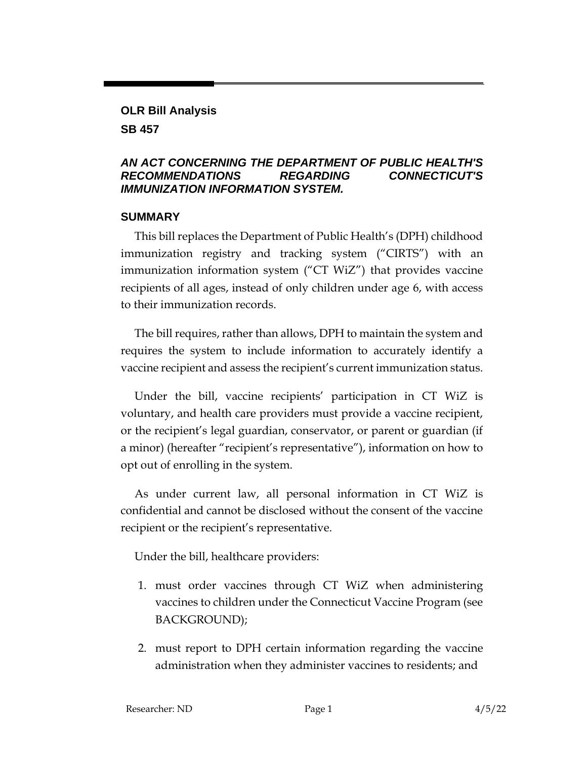# **OLR Bill Analysis**

**SB 457**

#### *AN ACT CONCERNING THE DEPARTMENT OF PUBLIC HEALTH'S RECOMMENDATIONS REGARDING CONNECTICUT'S IMMUNIZATION INFORMATION SYSTEM.*

### **SUMMARY**

This bill replaces the Department of Public Health's (DPH) childhood immunization registry and tracking system ("CIRTS") with an immunization information system ("CT WiZ") that provides vaccine recipients of all ages, instead of only children under age 6, with access to their immunization records.

The bill requires, rather than allows, DPH to maintain the system and requires the system to include information to accurately identify a vaccine recipient and assess the recipient's current immunization status.

Under the bill, vaccine recipients' participation in CT WiZ is voluntary, and health care providers must provide a vaccine recipient, or the recipient's legal guardian, conservator, or parent or guardian (if a minor) (hereafter "recipient's representative"), information on how to opt out of enrolling in the system.

As under current law, all personal information in CT WiZ is confidential and cannot be disclosed without the consent of the vaccine recipient or the recipient's representative.

Under the bill, healthcare providers:

- 1. must order vaccines through CT WiZ when administering vaccines to children under the Connecticut Vaccine Program (see BACKGROUND);
- 2. must report to DPH certain information regarding the vaccine administration when they administer vaccines to residents; and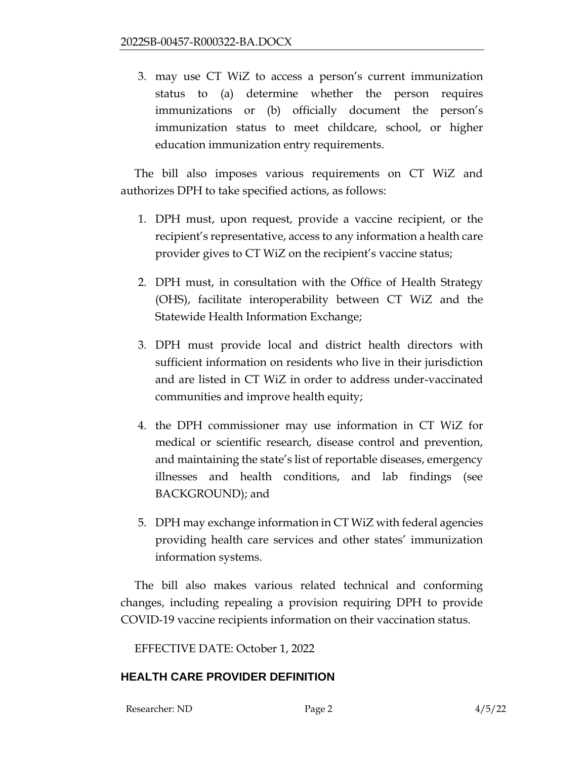3. may use CT WiZ to access a person's current immunization status to (a) determine whether the person requires immunizations or (b) officially document the person's immunization status to meet childcare, school, or higher education immunization entry requirements.

The bill also imposes various requirements on CT WiZ and authorizes DPH to take specified actions, as follows:

- 1. DPH must, upon request, provide a vaccine recipient, or the recipient's representative, access to any information a health care provider gives to CT WiZ on the recipient's vaccine status;
- 2. DPH must, in consultation with the Office of Health Strategy (OHS), facilitate interoperability between CT WiZ and the Statewide Health Information Exchange;
- 3. DPH must provide local and district health directors with sufficient information on residents who live in their jurisdiction and are listed in CT WiZ in order to address under-vaccinated communities and improve health equity;
- 4. the DPH commissioner may use information in CT WiZ for medical or scientific research, disease control and prevention, and maintaining the state's list of reportable diseases, emergency illnesses and health conditions, and lab findings (see BACKGROUND); and
- 5. DPH may exchange information in CT WiZ with federal agencies providing health care services and other states' immunization information systems.

The bill also makes various related technical and conforming changes, including repealing a provision requiring DPH to provide COVID-19 vaccine recipients information on their vaccination status.

EFFECTIVE DATE: October 1, 2022

# **HEALTH CARE PROVIDER DEFINITION**

Researcher: ND Page 2 4/5/22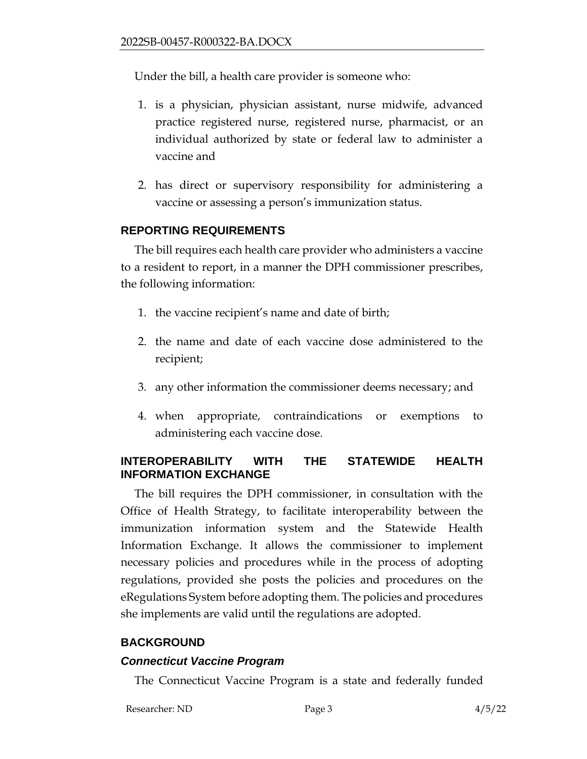Under the bill, a health care provider is someone who:

- 1. is a physician, physician assistant, nurse midwife, advanced practice registered nurse, registered nurse, pharmacist, or an individual authorized by state or federal law to administer a vaccine and
- 2. has direct or supervisory responsibility for administering a vaccine or assessing a person's immunization status.

#### **REPORTING REQUIREMENTS**

The bill requires each health care provider who administers a vaccine to a resident to report, in a manner the DPH commissioner prescribes, the following information:

- 1. the vaccine recipient's name and date of birth;
- 2. the name and date of each vaccine dose administered to the recipient;
- 3. any other information the commissioner deems necessary; and
- 4. when appropriate, contraindications or exemptions to administering each vaccine dose.

### **INTEROPERABILITY WITH THE STATEWIDE HEALTH INFORMATION EXCHANGE**

The bill requires the DPH commissioner, in consultation with the Office of Health Strategy, to facilitate interoperability between the immunization information system and the Statewide Health Information Exchange. It allows the commissioner to implement necessary policies and procedures while in the process of adopting regulations, provided she posts the policies and procedures on the eRegulations System before adopting them. The policies and procedures she implements are valid until the regulations are adopted.

### **BACKGROUND**

#### *Connecticut Vaccine Program*

The Connecticut Vaccine Program is a state and federally funded